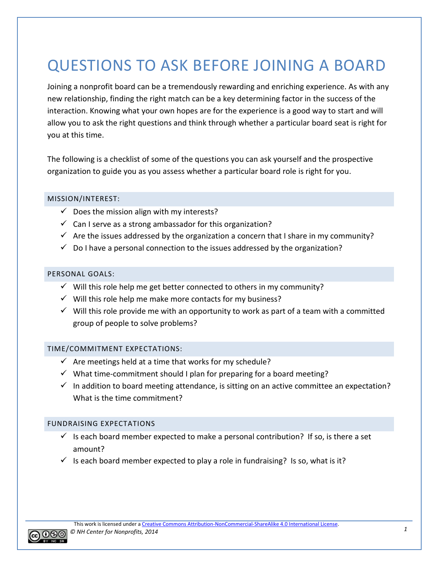# QUESTIONS TO ASK BEFORE JOINING A BOARD

Joining a nonprofit board can be a tremendously rewarding and enriching experience. As with any new relationship, finding the right match can be a key determining factor in the success of the interaction. Knowing what your own hopes are for the experience is a good way to start and will allow you to ask the right questions and think through whether a particular board seat is right for you at this time.

The following is a checklist of some of the questions you can ask yourself and the prospective organization to guide you as you assess whether a particular board role is right for you.

## MISSION/INTEREST:

- $\checkmark$  Does the mission align with my interests?
- $\checkmark$  Can I serve as a strong ambassador for this organization?
- $\checkmark$  Are the issues addressed by the organization a concern that I share in my community?
- $\checkmark$  Do I have a personal connection to the issues addressed by the organization?

## PERSONAL GOALS:

- $\checkmark$  Will this role help me get better connected to others in my community?
- $\checkmark$  Will this role help me make more contacts for my business?
- $\checkmark$  Will this role provide me with an opportunity to work as part of a team with a committed group of people to solve problems?

## TIME/COMMITMENT EXPECTATIONS:

- $\checkmark$  Are meetings held at a time that works for my schedule?
- $\checkmark$  What time-commitment should I plan for preparing for a board meeting?
- $\checkmark$  In addition to board meeting attendance, is sitting on an active committee an expectation? What is the time commitment?

## FUNDRAISING EXPECTATIONS

- $\checkmark$  Is each board member expected to make a personal contribution? If so, is there a set amount?
- Is each board member expected to play a role in fundraising? Is so, what is it?